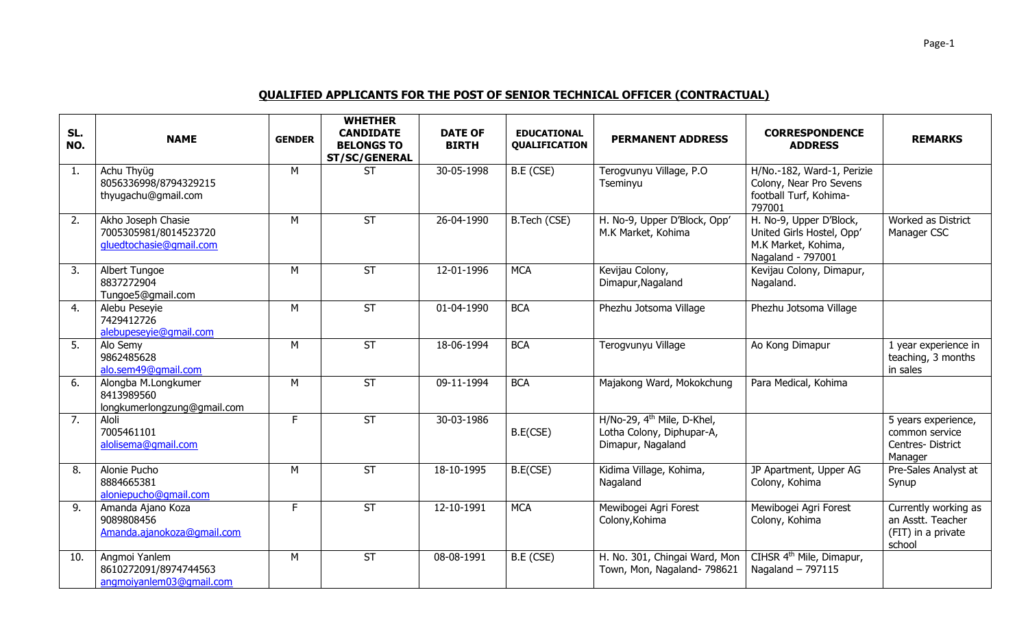## **QUALIFIED APPLICANTS FOR THE POST OF SENIOR TECHNICAL OFFICER (CONTRACTUAL)**

| SL.<br>NO.       | <b>NAME</b>                                                            | <b>GENDER</b> | <b>WHETHER</b><br><b>CANDIDATE</b><br><b>BELONGS TO</b><br><b>ST/SC/GENERAL</b> | <b>DATE OF</b><br><b>BIRTH</b> | <b>EDUCATIONAL</b><br><b>QUALIFICATION</b> | <b>PERMANENT ADDRESS</b>                                                                 | <b>CORRESPONDENCE</b><br><b>ADDRESS</b>                                                          | <b>REMARKS</b>                                                            |
|------------------|------------------------------------------------------------------------|---------------|---------------------------------------------------------------------------------|--------------------------------|--------------------------------------------|------------------------------------------------------------------------------------------|--------------------------------------------------------------------------------------------------|---------------------------------------------------------------------------|
| 1.               | Achu Thyüg<br>8056336998/8794329215<br>thyugachu@gmail.com             | M             | <b>ST</b>                                                                       | 30-05-1998                     | B.E (CSE)                                  | Terogvunyu Village, P.O<br>Tseminyu                                                      | H/No.-182, Ward-1, Perizie<br>Colony, Near Pro Sevens<br>football Turf, Kohima-<br>797001        |                                                                           |
| 2.               | Akho Joseph Chasie<br>7005305981/8014523720<br>gluedtochasie@gmail.com | M             | ST                                                                              | 26-04-1990                     | B.Tech (CSE)                               | H. No-9, Upper D'Block, Opp'<br>M.K Market, Kohima                                       | H. No-9, Upper D'Block,<br>United Girls Hostel, Opp'<br>M.K Market, Kohima,<br>Nagaland - 797001 | Worked as District<br>Manager CSC                                         |
| $\overline{3}$ . | Albert Tungoe<br>8837272904<br>Tungoe5@gmail.com                       | M             | <b>ST</b>                                                                       | 12-01-1996                     | <b>MCA</b>                                 | Kevijau Colony,<br>Dimapur, Nagaland                                                     | Kevijau Colony, Dimapur,<br>Nagaland.                                                            |                                                                           |
| 4.               | Alebu Peseyie<br>7429412726<br>alebupeseyie@qmail.com                  | M             | <b>ST</b>                                                                       | 01-04-1990                     | <b>BCA</b>                                 | Phezhu Jotsoma Village                                                                   | Phezhu Jotsoma Village                                                                           |                                                                           |
| 5.               | Alo Semy<br>9862485628<br>alo.sem49@qmail.com                          | M             | <b>ST</b>                                                                       | 18-06-1994                     | <b>BCA</b>                                 | Terogvunyu Village                                                                       | Ao Kong Dimapur                                                                                  | 1 year experience in<br>teaching, 3 months<br>in sales                    |
| 6.               | Alongba M.Longkumer<br>8413989560<br>longkumerlongzung@gmail.com       | M             | $\overline{\mathsf{ST}}$                                                        | 09-11-1994                     | <b>BCA</b>                                 | Majakong Ward, Mokokchung                                                                | Para Medical, Kohima                                                                             |                                                                           |
| 7.               | Aloli<br>7005461101<br>alolisema@gmail.com                             | F.            | ST                                                                              | 30-03-1986                     | B.E(CSE)                                   | H/No-29, 4 <sup>th</sup> Mile, D-Khel,<br>Lotha Colony, Diphupar-A,<br>Dimapur, Nagaland |                                                                                                  | 5 years experience,<br>common service<br>Centres-District<br>Manager      |
| 8.               | Alonie Pucho<br>8884665381<br>aloniepucho@qmail.com                    | M             | <b>ST</b>                                                                       | 18-10-1995                     | B.E(CSE)                                   | Kidima Village, Kohima,<br>Nagaland                                                      | JP Apartment, Upper AG<br>Colony, Kohima                                                         | Pre-Sales Analyst at<br>Synup                                             |
| 9.               | Amanda Ajano Koza<br>9089808456<br>Amanda.ajanokoza@qmail.com          | F.            | $\overline{\mathsf{ST}}$                                                        | 12-10-1991                     | <b>MCA</b>                                 | Mewibogei Agri Forest<br>Colony, Kohima                                                  | Mewibogei Agri Forest<br>Colony, Kohima                                                          | Currently working as<br>an Asstt. Teacher<br>(FIT) in a private<br>school |
| 10.              | Angmoi Yanlem<br>8610272091/8974744563<br>angmoiyanlem03@gmail.com     | M             | <b>ST</b>                                                                       | 08-08-1991                     | B.E (CSE)                                  | H. No. 301, Chingai Ward, Mon<br>Town, Mon, Nagaland- 798621                             | CIHSR 4 <sup>th</sup> Mile, Dimapur,<br>Nagaland - 797115                                        |                                                                           |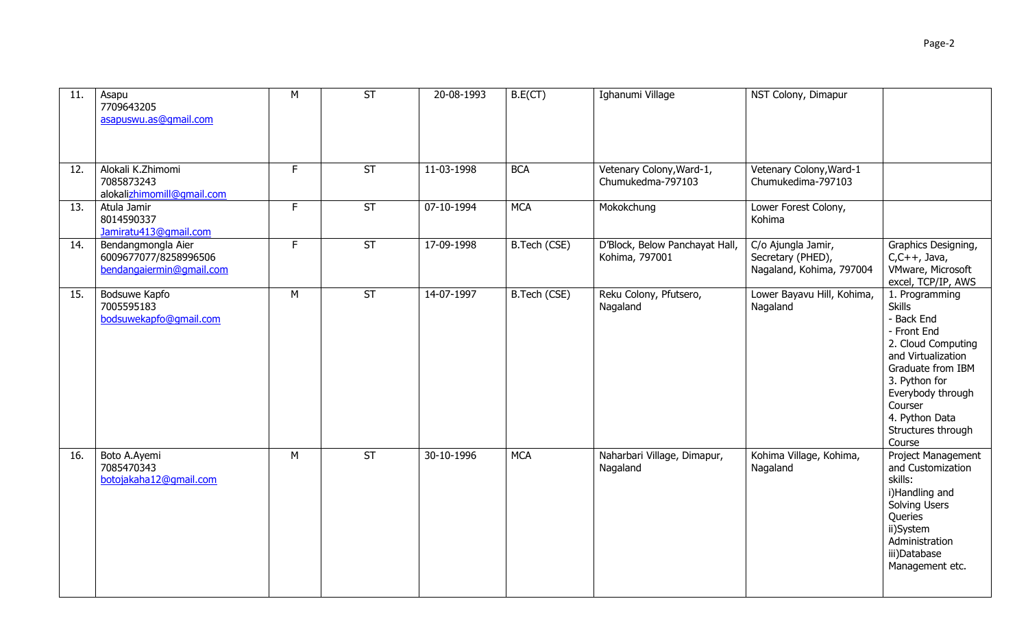| 11. | Asapu<br>7709643205<br>asapuswu.as@qmail.com                            | M  | <b>ST</b>                | 20-08-1993 | B.E(CT)      | Ighanumi Village                                 | NST Colony, Dimapur                                                 |                                                                                                                                                                                                                                  |
|-----|-------------------------------------------------------------------------|----|--------------------------|------------|--------------|--------------------------------------------------|---------------------------------------------------------------------|----------------------------------------------------------------------------------------------------------------------------------------------------------------------------------------------------------------------------------|
| 12. | Alokali K.Zhimomi<br>7085873243<br>alokalizhimomill@gmail.com           | F  | ST                       | 11-03-1998 | <b>BCA</b>   | Vetenary Colony, Ward-1,<br>Chumukedma-797103    | Vetenary Colony, Ward-1<br>Chumukedima-797103                       |                                                                                                                                                                                                                                  |
| 13. | Atula Jamir<br>8014590337<br>Jamiratu413@qmail.com                      | F. | ST                       | 07-10-1994 | <b>MCA</b>   | Mokokchung                                       | Lower Forest Colony,<br>Kohima                                      |                                                                                                                                                                                                                                  |
| 14. | Bendangmongla Aier<br>6009677077/8258996506<br>bendangaiermin@gmail.com | F. | ST                       | 17-09-1998 | B.Tech (CSE) | D'Block, Below Panchayat Hall,<br>Kohima, 797001 | C/o Ajungla Jamir,<br>Secretary (PHED),<br>Nagaland, Kohima, 797004 | Graphics Designing,<br>$C, C++,$ Java,<br>VMware, Microsoft<br>excel, TCP/IP, AWS                                                                                                                                                |
| 15. | Bodsuwe Kapfo<br>7005595183<br>bodsuwekapfo@gmail.com                   | M  | $\overline{\mathsf{ST}}$ | 14-07-1997 | B.Tech (CSE) | Reku Colony, Pfutsero,<br>Nagaland               | Lower Bayavu Hill, Kohima,<br>Nagaland                              | 1. Programming<br><b>Skills</b><br>- Back End<br>- Front End<br>2. Cloud Computing<br>and Virtualization<br>Graduate from IBM<br>3. Python for<br>Everybody through<br>Courser<br>4. Python Data<br>Structures through<br>Course |
| 16. | Boto A.Ayemi<br>7085470343<br>botojakaha12@qmail.com                    | M  | ST                       | 30-10-1996 | <b>MCA</b>   | Naharbari Village, Dimapur,<br>Nagaland          | Kohima Village, Kohima,<br>Nagaland                                 | Project Management<br>and Customization<br>skills:<br>i)Handling and<br>Solving Users<br>Queries<br>ii)System<br>Administration<br>iii)Database<br>Management etc.                                                               |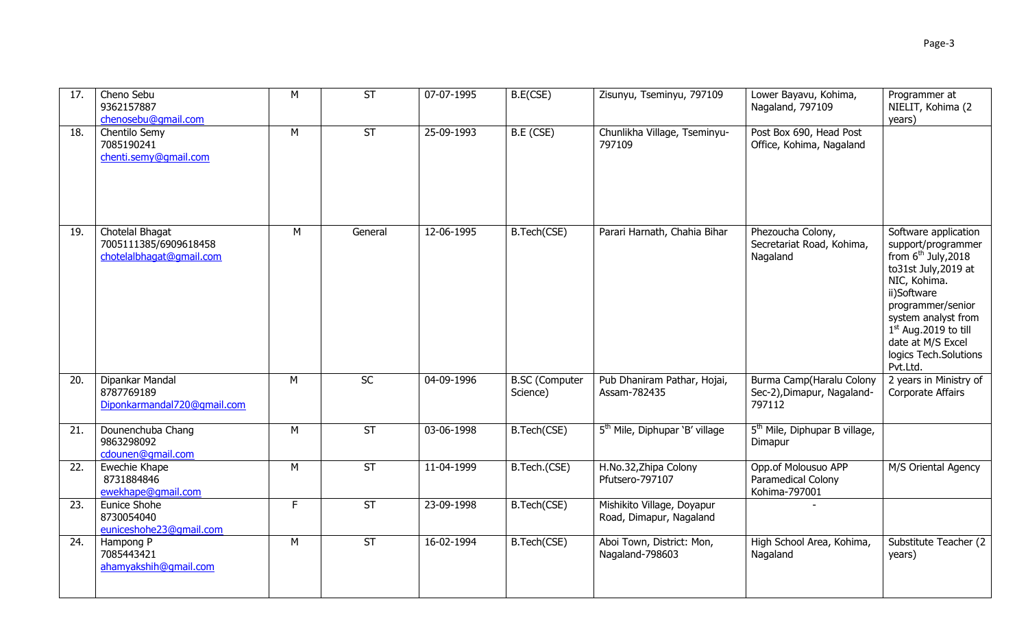| 17. | Cheno Sebu<br>9362157887<br>chenosebu@gmail.com                      | M  | ST        | 07-07-1995 | B.E(CSE)                          | Zisunyu, Tseminyu, 797109                             | Lower Bayavu, Kohima,<br>Nagaland, 797109                        | Programmer at<br>NIELIT, Kohima (2<br>years)                                                                                                                                                                                                                |
|-----|----------------------------------------------------------------------|----|-----------|------------|-----------------------------------|-------------------------------------------------------|------------------------------------------------------------------|-------------------------------------------------------------------------------------------------------------------------------------------------------------------------------------------------------------------------------------------------------------|
| 18. | Chentilo Semy<br>7085190241<br>chenti.semy@qmail.com                 | M  | ST        | 25-09-1993 | B.E (CSE)                         | Chunlikha Village, Tseminyu-<br>797109                | Post Box 690, Head Post<br>Office, Kohima, Nagaland              |                                                                                                                                                                                                                                                             |
| 19. | Chotelal Bhagat<br>7005111385/6909618458<br>chotelalbhagat@gmail.com | M  | General   | 12-06-1995 | B.Tech(CSE)                       | Parari Harnath, Chahia Bihar                          | Phezoucha Colony,<br>Secretariat Road, Kohima,<br>Nagaland       | Software application<br>support/programmer<br>from $6th$ July, 2018<br>to31st July, 2019 at<br>NIC, Kohima.<br>ii)Software<br>programmer/senior<br>system analyst from<br>$1st$ Aug. 2019 to till<br>date at M/S Excel<br>logics Tech.Solutions<br>Pvt.Ltd. |
| 20. | Dipankar Mandal<br>8787769189<br>Diponkarmandal720@qmail.com         | M  | SC        | 04-09-1996 | <b>B.SC</b> (Computer<br>Science) | Pub Dhaniram Pathar, Hojai,<br>Assam-782435           | Burma Camp(Haralu Colony<br>Sec-2), Dimapur, Nagaland-<br>797112 | 2 years in Ministry of<br>Corporate Affairs                                                                                                                                                                                                                 |
| 21. | Dounenchuba Chang<br>9863298092<br>cdounen@gmail.com                 | M  | <b>ST</b> | 03-06-1998 | B.Tech(CSE)                       | 5 <sup>th</sup> Mile, Diphupar 'B' village            | 5 <sup>th</sup> Mile, Diphupar B village,<br>Dimapur             |                                                                                                                                                                                                                                                             |
| 22. | Ewechie Khape<br>8731884846<br>ewekhape@gmail.com                    | M  | <b>ST</b> | 11-04-1999 | B.Tech.(CSE)                      | H.No.32, Zhipa Colony<br>Pfutsero-797107              | Opp.of Molousuo APP<br>Paramedical Colony<br>Kohima-797001       | M/S Oriental Agency                                                                                                                                                                                                                                         |
| 23. | Eunice Shohe<br>8730054040<br>euniceshohe23@qmail.com                | F. | <b>ST</b> | 23-09-1998 | B.Tech(CSE)                       | Mishikito Village, Doyapur<br>Road, Dimapur, Nagaland |                                                                  |                                                                                                                                                                                                                                                             |
| 24. | Hampong P<br>7085443421<br>ahamyakshih@qmail.com                     | M  | ST        | 16-02-1994 | B.Tech(CSE)                       | Aboi Town, District: Mon,<br>Nagaland-798603          | High School Area, Kohima,<br>Nagaland                            | Substitute Teacher (2<br>years)                                                                                                                                                                                                                             |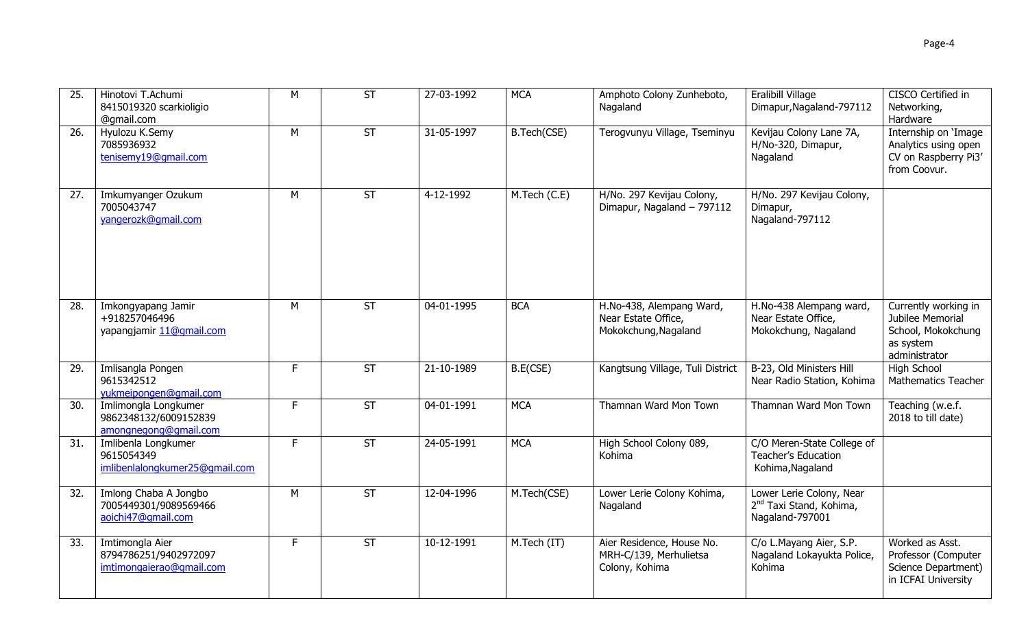| 25. | Hinotovi T.Achumi<br>8415019320 scarkioligio<br>@gmail.com             | M  | $\overline{\mathsf{ST}}$ | 27-03-1992 | <b>MCA</b>   | Amphoto Colony Zunheboto,<br>Nagaland                                   | Eralibill Village<br>Dimapur, Nagaland-797112                                      | CISCO Certified in<br>Networking,<br>Hardware                                                |
|-----|------------------------------------------------------------------------|----|--------------------------|------------|--------------|-------------------------------------------------------------------------|------------------------------------------------------------------------------------|----------------------------------------------------------------------------------------------|
| 26. | Hyulozu K.Semy<br>7085936932<br>tenisemy19@gmail.com                   | M  | $\overline{\mathsf{ST}}$ | 31-05-1997 | B.Tech(CSE)  | Terogvunyu Village, Tseminyu                                            | Kevijau Colony Lane 7A,<br>H/No-320, Dimapur,<br>Nagaland                          | Internship on 'Image<br>Analytics using open<br>CV on Raspberry Pi3'<br>from Coovur.         |
| 27. | Imkumyanger Ozukum<br>7005043747<br>yangerozk@gmail.com                | M  | $\overline{\mathsf{ST}}$ | 4-12-1992  | M.Tech (C.E) | H/No. 297 Kevijau Colony,<br>Dimapur, Nagaland - 797112                 | H/No. 297 Kevijau Colony,<br>Dimapur,<br>Nagaland-797112                           |                                                                                              |
| 28. | Imkongyapang Jamir<br>+918257046496<br>yapangjamir 11@qmail.com        | M  | <b>ST</b>                | 04-01-1995 | <b>BCA</b>   | H.No-438, Alempang Ward,<br>Near Estate Office,<br>Mokokchung, Nagaland | H.No-438 Alempang ward,<br>Near Estate Office,<br>Mokokchung, Nagaland             | Currently working in<br>Jubilee Memorial<br>School, Mokokchung<br>as system<br>administrator |
| 29. | Imlisangla Pongen<br>9615342512<br>yukmeipongen@gmail.com              | F. | <b>ST</b>                | 21-10-1989 | B.E(CSE)     | Kangtsung Village, Tuli District                                        | B-23, Old Ministers Hill<br>Near Radio Station, Kohima                             | <b>High School</b><br><b>Mathematics Teacher</b>                                             |
| 30. | Imlimongla Longkumer<br>9862348132/6009152839<br>amongnegong@gmail.com | F  | $\overline{\mathsf{ST}}$ | 04-01-1991 | <b>MCA</b>   | Thamnan Ward Mon Town                                                   | Thamnan Ward Mon Town                                                              | Teaching (w.e.f.<br>2018 to till date)                                                       |
| 31. | Imlibenla Longkumer<br>9615054349<br>imlibenlalongkumer25@gmail.com    | F  | <b>ST</b>                | 24-05-1991 | <b>MCA</b>   | High School Colony 089,<br>Kohima                                       | C/O Meren-State College of<br><b>Teacher's Education</b><br>Kohima, Nagaland       |                                                                                              |
| 32. | Imlong Chaba A Jongbo<br>7005449301/9089569466<br>aoichi47@qmail.com   | M  | <b>ST</b>                | 12-04-1996 | M.Tech(CSE)  | Lower Lerie Colony Kohima,<br>Nagaland                                  | Lower Lerie Colony, Near<br>2 <sup>nd</sup> Taxi Stand, Kohima,<br>Nagaland-797001 |                                                                                              |
| 33. | Imtimongla Aier<br>8794786251/9402972097<br>imtimongaierao@gmail.com   | F  | $\overline{\mathsf{ST}}$ | 10-12-1991 | M.Tech (IT)  | Aier Residence, House No.<br>MRH-C/139, Merhulietsa<br>Colony, Kohima   | C/o L.Mayang Aier, S.P.<br>Nagaland Lokayukta Police,<br>Kohima                    | Worked as Asst.<br>Professor (Computer<br>Science Department)<br>in ICFAI University         |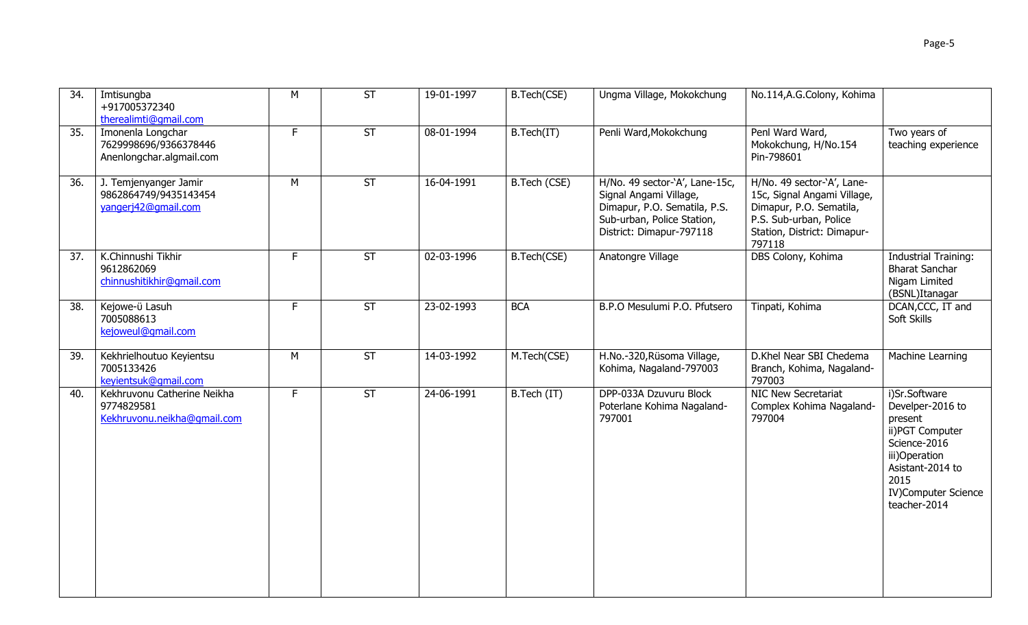| 34. | Imtisungba<br>+917005372340<br>therealimti@qmail.com                     | M  | $\overline{\mathsf{ST}}$ | 19-01-1997 | B.Tech(CSE)  | Ungma Village, Mokokchung                                                                                                                          | No.114, A.G. Colony, Kohima                                                                                                                             |                                                                                                                                                                      |
|-----|--------------------------------------------------------------------------|----|--------------------------|------------|--------------|----------------------------------------------------------------------------------------------------------------------------------------------------|---------------------------------------------------------------------------------------------------------------------------------------------------------|----------------------------------------------------------------------------------------------------------------------------------------------------------------------|
| 35. | Imonenla Longchar<br>7629998696/9366378446<br>Anenlongchar.algmail.com   | F. | ST                       | 08-01-1994 | B.Tech(IT)   | Penli Ward, Mokokchung                                                                                                                             | Penl Ward Ward,<br>Mokokchung, H/No.154<br>Pin-798601                                                                                                   | Two years of<br>teaching experience                                                                                                                                  |
| 36. | J. Temjenyanger Jamir<br>9862864749/9435143454<br>yangerj42@gmail.com    | М  | <b>ST</b>                | 16-04-1991 | B.Tech (CSE) | H/No. 49 sector-`A', Lane-15c,<br>Signal Angami Village,<br>Dimapur, P.O. Sematila, P.S.<br>Sub-urban, Police Station,<br>District: Dimapur-797118 | H/No. 49 sector-`A', Lane-<br>15c, Signal Angami Village,<br>Dimapur, P.O. Sematila,<br>P.S. Sub-urban, Police<br>Station, District: Dimapur-<br>797118 |                                                                                                                                                                      |
| 37. | K.Chinnushi Tikhir<br>9612862069<br>chinnushitikhir@qmail.com            | F. | <b>ST</b>                | 02-03-1996 | B.Tech(CSE)  | Anatongre Village                                                                                                                                  | DBS Colony, Kohima                                                                                                                                      | <b>Industrial Training:</b><br><b>Bharat Sanchar</b><br>Nigam Limited<br>(BSNL)Itanagar                                                                              |
| 38. | Kejowe-ü Lasuh<br>7005088613<br>kejoweul@gmail.com                       | F. | <b>ST</b>                | 23-02-1993 | <b>BCA</b>   | B.P.O Mesulumi P.O. Pfutsero                                                                                                                       | Tinpati, Kohima                                                                                                                                         | DCAN, CCC, IT and<br>Soft Skills                                                                                                                                     |
| 39. | Kekhrielhoutuo Keyientsu<br>7005133426<br>keyientsuk@gmail.com           | M  | <b>ST</b>                | 14-03-1992 | M.Tech(CSE)  | H.No.-320, Rüsoma Village,<br>Kohima, Nagaland-797003                                                                                              | D.Khel Near SBI Chedema<br>Branch, Kohima, Nagaland-<br>797003                                                                                          | Machine Learning                                                                                                                                                     |
| 40. | Kekhruvonu Catherine Neikha<br>9774829581<br>Kekhruvonu.neikha@qmail.com | F. | ST                       | 24-06-1991 | B.Tech (IT)  | DPP-033A Dzuvuru Block<br>Poterlane Kohima Nagaland-<br>797001                                                                                     | NIC New Secretariat<br>Complex Kohima Nagaland-<br>797004                                                                                               | i)Sr.Software<br>Develper-2016 to<br>present<br>ii) PGT Computer<br>Science-2016<br>iii)Operation<br>Asistant-2014 to<br>2015<br>IV)Computer Science<br>teacher-2014 |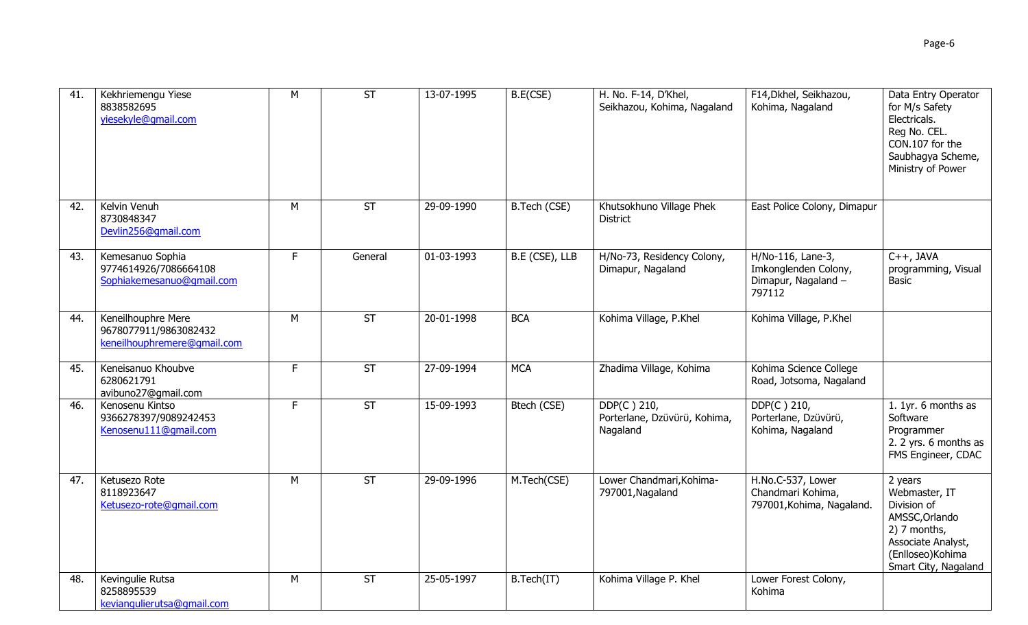| 41. | Kekhriemengu Yiese<br>8838582695<br>yiesekyle@gmail.com                    | M  | ST                       | 13-07-1995 | B.E(CSE)       | H. No. F-14, D'Khel,<br>Seikhazou, Kohima, Nagaland     | F14, Dkhel, Seikhazou,<br>Kohima, Nagaland                                 | Data Entry Operator<br>for M/s Safety<br>Electricals.<br>Reg No. CEL.<br>CON.107 for the<br>Saubhagya Scheme,<br>Ministry of Power           |
|-----|----------------------------------------------------------------------------|----|--------------------------|------------|----------------|---------------------------------------------------------|----------------------------------------------------------------------------|----------------------------------------------------------------------------------------------------------------------------------------------|
| 42. | Kelvin Venuh<br>8730848347<br>Devlin256@gmail.com                          | M  | <b>ST</b>                | 29-09-1990 | B.Tech (CSE)   | Khutsokhuno Village Phek<br><b>District</b>             | East Police Colony, Dimapur                                                |                                                                                                                                              |
| 43. | Kemesanuo Sophia<br>9774614926/7086664108<br>Sophiakemesanuo@gmail.com     | F. | General                  | 01-03-1993 | B.E (CSE), LLB | H/No-73, Residency Colony,<br>Dimapur, Nagaland         | H/No-116, Lane-3,<br>Imkonglenden Colony,<br>Dimapur, Nagaland -<br>797112 | $C++$ , JAVA<br>programming, Visual<br>Basic                                                                                                 |
| 44. | Keneilhouphre Mere<br>9678077911/9863082432<br>keneilhouphremere@qmail.com | M  | $\overline{\mathsf{ST}}$ | 20-01-1998 | <b>BCA</b>     | Kohima Village, P.Khel                                  | Kohima Village, P.Khel                                                     |                                                                                                                                              |
| 45. | Keneisanuo Khoubve<br>6280621791<br>avibuno27@gmail.com                    | F. | ST                       | 27-09-1994 | <b>MCA</b>     | Zhadima Village, Kohima                                 | Kohima Science College<br>Road, Jotsoma, Nagaland                          |                                                                                                                                              |
| 46. | Kenosenu Kintso<br>9366278397/9089242453<br>Kenosenu111@gmail.com          | F. | <b>ST</b>                | 15-09-1993 | Btech (CSE)    | DDP(C) 210,<br>Porterlane, Dzüvürü, Kohima,<br>Nagaland | DDP(C) 210,<br>Porterlane, Dzüvürü,<br>Kohima, Nagaland                    | 1. 1yr. 6 months as<br>Software<br>Programmer<br>2. 2 yrs. 6 months as<br>FMS Engineer, CDAC                                                 |
| 47. | Ketusezo Rote<br>8118923647<br>Ketusezo-rote@qmail.com                     | M  | <b>ST</b>                | 29-09-1996 | M.Tech(CSE)    | Lower Chandmari, Kohima-<br>797001, Nagaland            | H.No.C-537, Lower<br>Chandmari Kohima,<br>797001, Kohima, Nagaland.        | 2 years<br>Webmaster, IT<br>Division of<br>AMSSC, Orlando<br>2) 7 months,<br>Associate Analyst,<br>(Enlloseo) Kohima<br>Smart City, Nagaland |
| 48. | Kevingulie Rutsa<br>8258895539<br>keviangulierutsa@gmail.com               | M  | <b>ST</b>                | 25-05-1997 | B.Tech(IT)     | Kohima Village P. Khel                                  | Lower Forest Colony,<br>Kohima                                             |                                                                                                                                              |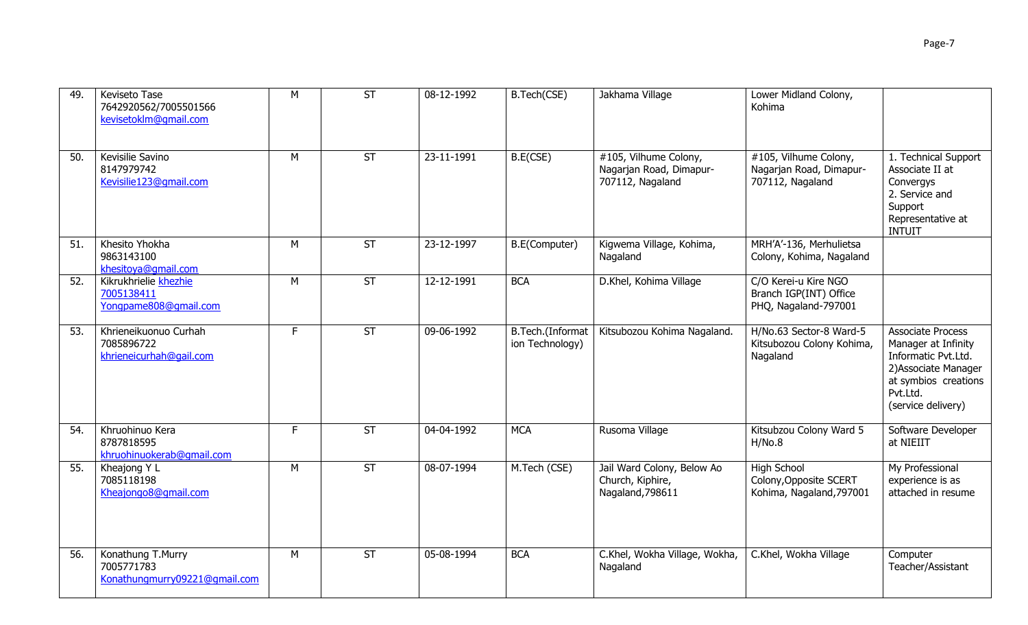| 49. | Keviseto Tase<br>7642920562/7005501566<br>kevisetoklm@gmail.com  | M  | ST                       | 08-12-1992               | B.Tech(CSE)                         | Jakhama Village                                                                    | Lower Midland Colony,<br>Kohima                                          |                                                                                                                                                          |
|-----|------------------------------------------------------------------|----|--------------------------|--------------------------|-------------------------------------|------------------------------------------------------------------------------------|--------------------------------------------------------------------------|----------------------------------------------------------------------------------------------------------------------------------------------------------|
| 50. | Kevisilie Savino<br>8147979742<br>Kevisilie123@qmail.com         | M  | <b>ST</b>                | 23-11-1991               | B.E(CSE)                            | $\overline{4105}$ , Vilhume Colony,<br>Nagarjan Road, Dimapur-<br>707112, Nagaland | #105, Vilhume Colony,<br>Nagarjan Road, Dimapur-<br>707112, Nagaland     | 1. Technical Support<br>Associate II at<br>Convergys<br>2. Service and<br>Support<br>Representative at<br><b>INTUIT</b>                                  |
| 51. | Khesito Yhokha<br>9863143100<br>khesitoya@qmail.com              | M  | <b>ST</b>                | 23-12-1997               | B.E(Computer)                       | Kigwema Village, Kohima,<br>Nagaland                                               | MRH'A'-136, Merhulietsa<br>Colony, Kohima, Nagaland                      |                                                                                                                                                          |
| 52. | Kikrukhrielie khezhie<br>7005138411<br>Yongpame808@gmail.com     | M  | <b>ST</b>                | 12-12-1991               | <b>BCA</b>                          | D.Khel, Kohima Village                                                             | C/O Kerei-u Kire NGO<br>Branch IGP(INT) Office<br>PHQ, Nagaland-797001   |                                                                                                                                                          |
| 53. | Khrieneikuonuo Curhah<br>7085896722<br>khrieneicurhah@gail.com   | F. | $\overline{\mathsf{ST}}$ | 09-06-1992               | B.Tech.(Informat<br>ion Technology) | Kitsubozou Kohima Nagaland.                                                        | H/No.63 Sector-8 Ward-5<br>Kitsubozou Colony Kohima,<br>Nagaland         | <b>Associate Process</b><br>Manager at Infinity<br>Informatic Pvt.Ltd.<br>2) Associate Manager<br>at symbios creations<br>Pvt.Ltd.<br>(service delivery) |
| 54. | Khruohinuo Kera<br>8787818595<br>khruohinuokerab@qmail.com       | F. | ST                       | $\overline{0}$ 4-04-1992 | <b>MCA</b>                          | Rusoma Village                                                                     | Kitsubzou Colony Ward 5<br>H/No.8                                        | Software Developer<br>at NIEIIT                                                                                                                          |
| 55. | Kheajong Y L<br>7085118198<br>Kheajongo8@gmail.com               | M  | <b>ST</b>                | 08-07-1994               | M.Tech (CSE)                        | Jail Ward Colony, Below Ao<br>Church, Kiphire,<br>Nagaland, 798611                 | <b>High School</b><br>Colony, Opposite SCERT<br>Kohima, Nagaland, 797001 | My Professional<br>experience is as<br>attached in resume                                                                                                |
| 56. | Konathung T.Murry<br>7005771783<br>Konathungmurry09221@gmail.com | M  | <b>ST</b>                | 05-08-1994               | <b>BCA</b>                          | C.Khel, Wokha Village, Wokha,<br>Nagaland                                          | C.Khel, Wokha Village                                                    | Computer<br>Teacher/Assistant                                                                                                                            |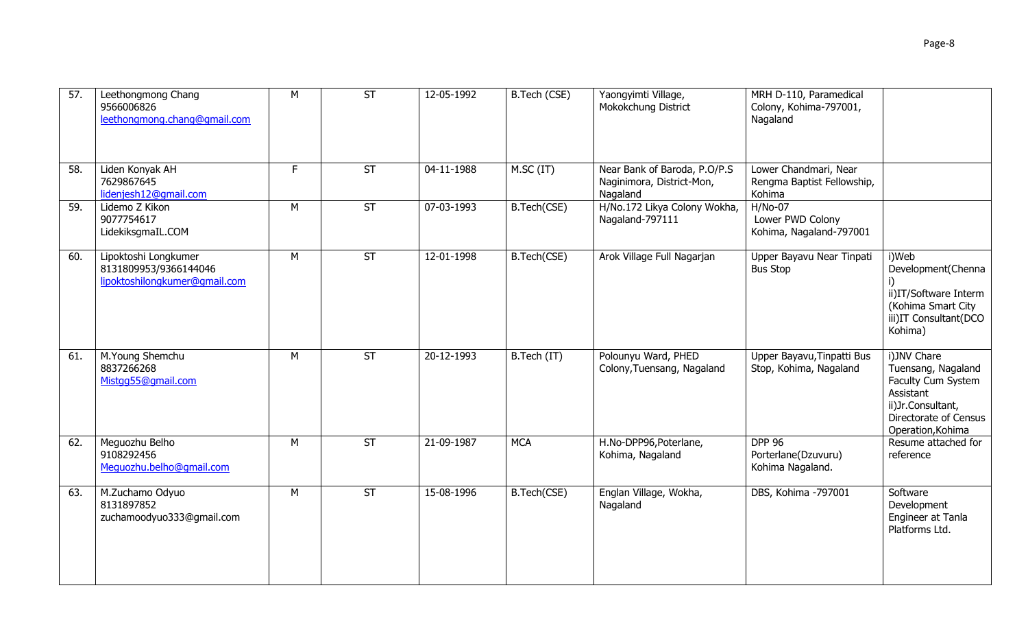| 57. | Leethongmong Chang<br>9566006826<br>leethongmong.chang@gmail.com               | M | $\overline{\mathsf{ST}}$ | 12-05-1992 | B.Tech (CSE) | Yaongyimti Village,<br>Mokokchung District                            | MRH D-110, Paramedical<br>Colony, Kohima-797001,<br>Nagaland  |                                                                                                                                         |
|-----|--------------------------------------------------------------------------------|---|--------------------------|------------|--------------|-----------------------------------------------------------------------|---------------------------------------------------------------|-----------------------------------------------------------------------------------------------------------------------------------------|
| 58. | Liden Konyak AH<br>7629867645<br>lidenjesh12@gmail.com                         | F | <b>ST</b>                | 04-11-1988 | M.SC (IT)    | Near Bank of Baroda, P.O/P.S<br>Naginimora, District-Mon,<br>Nagaland | Lower Chandmari, Near<br>Rengma Baptist Fellowship,<br>Kohima |                                                                                                                                         |
| 59. | Lidemo Z Kikon<br>9077754617<br>LidekiksgmaIL.COM                              | M | <b>ST</b>                | 07-03-1993 | B.Tech(CSE)  | H/No.172 Likya Colony Wokha,<br>Nagaland-797111                       | $H/No-07$<br>Lower PWD Colony<br>Kohima, Nagaland-797001      |                                                                                                                                         |
| 60. | Lipoktoshi Longkumer<br>8131809953/9366144046<br>lipoktoshilongkumer@gmail.com | M | $\overline{\mathsf{ST}}$ | 12-01-1998 | B.Tech(CSE)  | Arok Village Full Nagarjan                                            | Upper Bayavu Near Tinpati<br><b>Bus Stop</b>                  | i)Web<br>Development(Chenna<br>ii)IT/Software Interm<br>(Kohima Smart City<br>iii)IT Consultant(DCO<br>Kohima)                          |
| 61. | M.Young Shemchu<br>8837266268<br>Mistgg55@gmail.com                            | M | <b>ST</b>                | 20-12-1993 | B.Tech (IT)  | Polounyu Ward, PHED<br>Colony, Tuensang, Nagaland                     | Upper Bayavu, Tinpatti Bus<br>Stop, Kohima, Nagaland          | i)JNV Chare<br>Tuensang, Nagaland<br>Faculty Cum System<br>Assistant<br>ii)Jr.Consultant,<br>Directorate of Census<br>Operation, Kohima |
| 62. | Meguozhu Belho<br>9108292456<br>Meguozhu.belho@gmail.com                       | M | $\overline{\mathsf{ST}}$ | 21-09-1987 | <b>MCA</b>   | H.No-DPP96, Poterlane,<br>Kohima, Nagaland                            | <b>DPP 96</b><br>Porterlane(Dzuvuru)<br>Kohima Nagaland.      | Resume attached for<br>reference                                                                                                        |
| 63. | M.Zuchamo Odyuo<br>8131897852<br>zuchamoodyuo333@gmail.com                     | М | ST                       | 15-08-1996 | B.Tech(CSE)  | Englan Village, Wokha,<br>Nagaland                                    | DBS, Kohima -797001                                           | Software<br>Development<br>Engineer at Tanla<br>Platforms Ltd.                                                                          |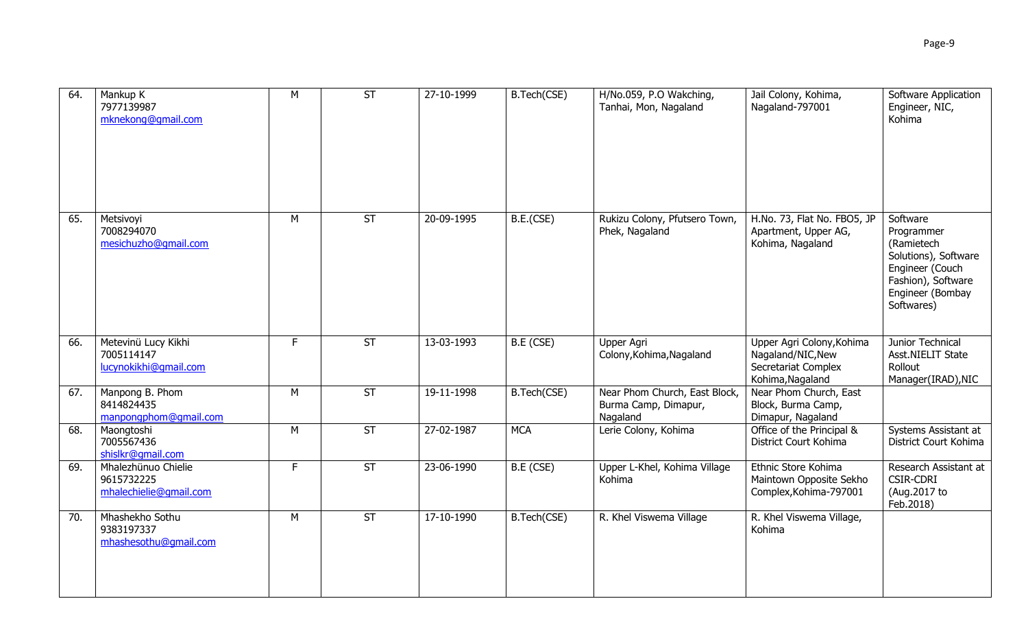| 64. | Mankup K<br>7977139987<br>mknekong@gmail.com                | M  | $\overline{\mathsf{ST}}$ | 27-10-1999 | B.Tech(CSE) | H/No.059, P.O Wakching,<br>Tanhai, Mon, Nagaland                  | Jail Colony, Kohima,<br>Nagaland-797001                                                   | Software Application<br>Engineer, NIC,<br>Kohima                                                                                        |
|-----|-------------------------------------------------------------|----|--------------------------|------------|-------------|-------------------------------------------------------------------|-------------------------------------------------------------------------------------------|-----------------------------------------------------------------------------------------------------------------------------------------|
| 65. | Metsivoyi<br>7008294070<br>mesichuzho@gmail.com             | M  | ST                       | 20-09-1995 | B.E.(CSE)   | Rukizu Colony, Pfutsero Town,<br>Phek, Nagaland                   | H.No. 73, Flat No. FBO5, JP<br>Apartment, Upper AG,<br>Kohima, Nagaland                   | Software<br>Programmer<br>(Ramietech<br>Solutions), Software<br>Engineer (Couch<br>Fashion), Software<br>Engineer (Bombay<br>Softwares) |
| 66. | Metevinü Lucy Kikhi<br>7005114147<br>lucynokikhi@qmail.com  | F. | <b>ST</b>                | 13-03-1993 | B.E(CSE)    | Upper Agri<br>Colony, Kohima, Nagaland                            | Upper Agri Colony, Kohima<br>Nagaland/NIC, New<br>Secretariat Complex<br>Kohima, Nagaland | Junior Technical<br>Asst.NIELIT State<br>Rollout<br>Manager(IRAD), NIC                                                                  |
| 67. | Manpong B. Phom<br>8414824435<br>manpongphom@gmail.com      | M  | ST                       | 19-11-1998 | B.Tech(CSE) | Near Phom Church, East Block,<br>Burma Camp, Dimapur,<br>Nagaland | Near Phom Church, East<br>Block, Burma Camp,<br>Dimapur, Nagaland                         |                                                                                                                                         |
| 68. | Maongtoshi<br>7005567436<br>shislkr@qmail.com               | M  | <b>ST</b>                | 27-02-1987 | <b>MCA</b>  | Lerie Colony, Kohima                                              | Office of the Principal &<br>District Court Kohima                                        | Systems Assistant at<br>District Court Kohima                                                                                           |
| 69. | Mhalezhünuo Chielie<br>9615732225<br>mhalechielie@gmail.com | F  | <b>ST</b>                | 23-06-1990 | B.E (CSE)   | Upper L-Khel, Kohima Village<br>Kohima                            | Ethnic Store Kohima<br>Maintown Opposite Sekho<br>Complex, Kohima-797001                  | Research Assistant at<br><b>CSIR-CDRI</b><br>(Aug.2017 to<br>Feb.2018)                                                                  |
| 70. | Mhashekho Sothu<br>9383197337<br>mhashesothu@qmail.com      | M  | <b>ST</b>                | 17-10-1990 | B.Tech(CSE) | R. Khel Viswema Village                                           | R. Khel Viswema Village,<br>Kohima                                                        |                                                                                                                                         |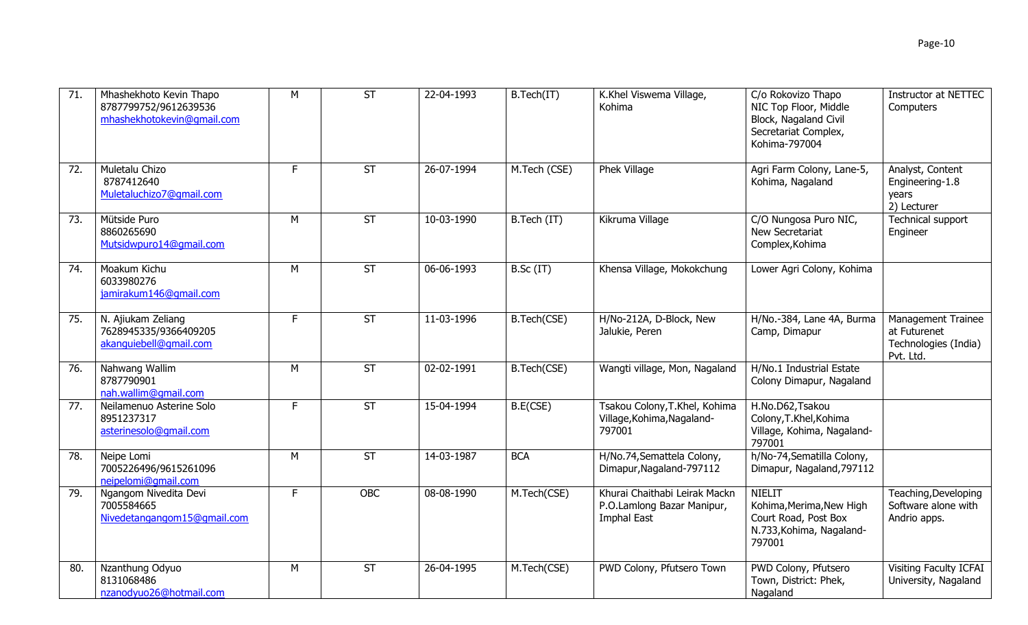| 71. | Mhashekhoto Kevin Thapo<br>8787799752/9612639536<br>mhashekhotokevin@qmail.com | M  | <b>ST</b>                | 22-04-1993 | B.Tech(IT)   | K.Khel Viswema Village,<br>Kohima                                          | C/o Rokovizo Thapo<br>NIC Top Floor, Middle<br>Block, Nagaland Civil<br>Secretariat Complex,<br>Kohima-797004 | <b>Instructor at NETTEC</b><br>Computers                                |
|-----|--------------------------------------------------------------------------------|----|--------------------------|------------|--------------|----------------------------------------------------------------------------|---------------------------------------------------------------------------------------------------------------|-------------------------------------------------------------------------|
| 72. | Muletalu Chizo<br>8787412640<br>Muletaluchizo7@gmail.com                       | F. | <b>ST</b>                | 26-07-1994 | M.Tech (CSE) | Phek Village                                                               | Agri Farm Colony, Lane-5,<br>Kohima, Nagaland                                                                 | Analyst, Content<br>Engineering-1.8<br>years<br>2) Lecturer             |
| 73. | Mütside Puro<br>8860265690<br>Mutsidwpuro14@qmail.com                          | M  | <b>ST</b>                | 10-03-1990 | B.Tech (IT)  | Kikruma Village                                                            | C/O Nungosa Puro NIC,<br>New Secretariat<br>Complex, Kohima                                                   | Technical support<br>Engineer                                           |
| 74. | Moakum Kichu<br>6033980276<br>jamirakum146@qmail.com                           | M  | $\overline{\mathsf{ST}}$ | 06-06-1993 | B.Sc (IT)    | Khensa Village, Mokokchung                                                 | Lower Agri Colony, Kohima                                                                                     |                                                                         |
| 75. | N. Ajiukam Zeliang<br>7628945335/9366409205<br>akanquiebell@qmail.com          | F. | <b>ST</b>                | 11-03-1996 | B.Tech(CSE)  | H/No-212A, D-Block, New<br>Jalukie, Peren                                  | H/No.-384, Lane 4A, Burma<br>Camp, Dimapur                                                                    | Management Trainee<br>at Futurenet<br>Technologies (India)<br>Pvt. Ltd. |
| 76. | Nahwang Wallim<br>8787790901<br>nah.wallim@qmail.com                           | M  | ST                       | 02-02-1991 | B.Tech(CSE)  | Wangti village, Mon, Nagaland                                              | H/No.1 Industrial Estate<br>Colony Dimapur, Nagaland                                                          |                                                                         |
| 77. | Neilamenuo Asterine Solo<br>8951237317<br>asterinesolo@gmail.com               | F. | <b>ST</b>                | 15-04-1994 | B.E(CSE)     | Tsakou Colony, T.Khel, Kohima<br>Village, Kohima, Nagaland-<br>797001      | H.No.D62, Tsakou<br>Colony, T.Khel, Kohima<br>Village, Kohima, Nagaland-<br>797001                            |                                                                         |
| 78. | Neipe Lomi<br>7005226496/9615261096<br>neipelomi@qmail.com                     | M  | <b>ST</b>                | 14-03-1987 | <b>BCA</b>   | H/No.74, Semattela Colony,<br>Dimapur, Nagaland-797112                     | h/No-74, Sematilla Colony,<br>Dimapur, Nagaland, 797112                                                       |                                                                         |
| 79. | Ngangom Nivedita Devi<br>7005584665<br>Nivedetangangom15@gmail.com             | F  | <b>OBC</b>               | 08-08-1990 | M.Tech(CSE)  | Khurai Chaithabi Leirak Mackn<br>P.O.Lamlong Bazar Manipur,<br>Imphal East | <b>NIELIT</b><br>Kohima, Merima, New High<br>Court Road, Post Box<br>N.733, Kohima, Nagaland-<br>797001       | Teaching, Developing<br>Software alone with<br>Andrio apps.             |
| 80. | Nzanthung Odyuo<br>8131068486<br>nzanodyuo26@hotmail.com                       | M  | <b>ST</b>                | 26-04-1995 | M.Tech(CSE)  | PWD Colony, Pfutsero Town                                                  | PWD Colony, Pfutsero<br>Town, District: Phek,<br>Nagaland                                                     | Visiting Faculty ICFAI<br>University, Nagaland                          |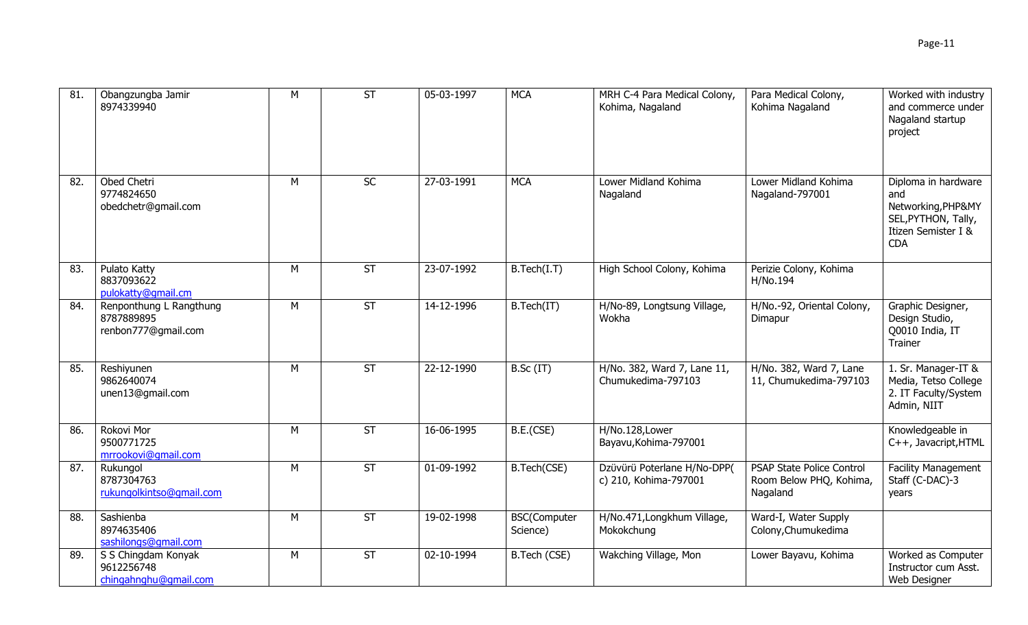| 81  | Obangzungba Jamir<br>8974339940                              | M | $\overline{\mathsf{ST}}$ | 05-03-1997 | <b>MCA</b>                      | MRH C-4 Para Medical Colony,<br>Kohima, Nagaland     | Para Medical Colony,<br>Kohima Nagaland                                 | Worked with industry<br>and commerce under<br>Nagaland startup<br>project                                    |
|-----|--------------------------------------------------------------|---|--------------------------|------------|---------------------------------|------------------------------------------------------|-------------------------------------------------------------------------|--------------------------------------------------------------------------------------------------------------|
| 82. | Obed Chetri<br>9774824650<br>obedchetr@gmail.com             | M | <b>SC</b>                | 27-03-1991 | <b>MCA</b>                      | Lower Midland Kohima<br>Nagaland                     | Lower Midland Kohima<br>Nagaland-797001                                 | Diploma in hardware<br>and<br>Networking, PHP&MY<br>SEL, PYTHON, Tally,<br>Itizen Semister I &<br><b>CDA</b> |
| 83. | Pulato Katty<br>8837093622<br>pulokatty@qmail.cm             | M | $\overline{\mathsf{ST}}$ | 23-07-1992 | B.Tech(I.T)                     | High School Colony, Kohima                           | Perizie Colony, Kohima<br>H/No.194                                      |                                                                                                              |
| 84. | Renponthung L Rangthung<br>8787889895<br>renbon777@gmail.com | M | $\overline{\mathsf{ST}}$ | 14-12-1996 | B.Tech(IT)                      | H/No-89, Longtsung Village,<br>Wokha                 | H/No.-92, Oriental Colony,<br>Dimapur                                   | Graphic Designer,<br>Design Studio,<br>Q0010 India, IT<br>Trainer                                            |
| 85. | Reshiyunen<br>9862640074<br>unen13@gmail.com                 | M | ST                       | 22-12-1990 | B.Sc (IT)                       | H/No. 382, Ward 7, Lane 11,<br>Chumukedima-797103    | H/No. 382, Ward 7, Lane<br>11, Chumukedima-797103                       | 1. Sr. Manager-IT &<br>Media, Tetso College<br>2. IT Faculty/System<br>Admin, NIIT                           |
| 86. | Rokovi Mor<br>9500771725<br>mrrookovi@qmail.com              | M | ST                       | 16-06-1995 | B.E.(CSE)                       | H/No.128,Lower<br>Bayavu, Kohima-797001              |                                                                         | Knowledgeable in<br>C++, Javacript, HTML                                                                     |
| 87. | Rukungol<br>8787304763<br>rukungolkintso@gmail.com           | M | $\overline{\mathsf{ST}}$ | 01-09-1992 | B.Tech(CSE)                     | Dzüvürü Poterlane H/No-DPP(<br>c) 210, Kohima-797001 | <b>PSAP State Police Control</b><br>Room Below PHQ, Kohima,<br>Nagaland | <b>Facility Management</b><br>Staff (C-DAC)-3<br>years                                                       |
| 88. | Sashienba<br>8974635406<br>sashilongs@gmail.com              | М | ST                       | 19-02-1998 | <b>BSC(Computer</b><br>Science) | H/No.471, Longkhum Village,<br>Mokokchung            | Ward-I, Water Supply<br>Colony, Chumukedima                             |                                                                                                              |
| 89. | S S Chingdam Konyak<br>9612256748<br>chingahnghu@gmail.com   | M | <b>ST</b>                | 02-10-1994 | B.Tech (CSE)                    | Wakching Village, Mon                                | Lower Bayavu, Kohima                                                    | Worked as Computer<br>Instructor cum Asst.<br>Web Designer                                                   |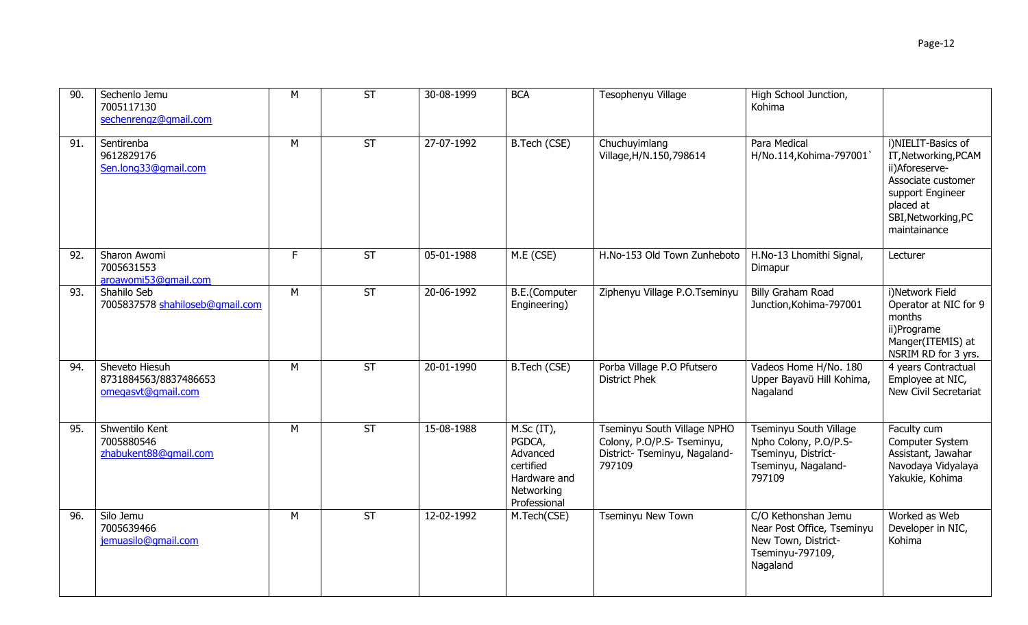| Sechenlo Jemu<br>7005117130<br>sechenrengz@gmail.com          | М | <b>ST</b> | 30-08-1999 | <b>BCA</b>                            | Tesophenyu Village                                        | High School Junction,<br>Kohima                                |                                                                                                                                                            |
|---------------------------------------------------------------|---|-----------|------------|---------------------------------------|-----------------------------------------------------------|----------------------------------------------------------------|------------------------------------------------------------------------------------------------------------------------------------------------------------|
| Sentirenba<br>9612829176<br>Sen.long33@gmail.com              | M | <b>ST</b> | 27-07-1992 | B.Tech (CSE)                          | Chuchuyimlang<br>Village, H/N.150, 798614                 | Para Medical<br>H/No.114, Kohima-797001                        | i)NIELIT-Basics of<br>IT, Networking, PCAM<br>ii)Aforeserve-<br>Associate customer<br>support Engineer<br>placed at<br>SBI, Networking, PC<br>maintainance |
| Sharon Awomi<br>7005631553<br>aroawomi53@gmail.com            | F | <b>ST</b> | 05-01-1988 | M.E (CSE)                             | H.No-153 Old Town Zunheboto                               | H.No-13 Lhomithi Signal,<br>Dimapur                            | Lecturer                                                                                                                                                   |
| Shahilo Seb<br>7005837578 shahiloseb@qmail.com                | M | <b>ST</b> | 20-06-1992 | <b>B.E.</b> (Computer<br>Engineering) | Ziphenyu Village P.O.Tseminyu                             | Billy Graham Road<br>Junction, Kohima-797001                   | i)Network Field<br>Operator at NIC for 9<br>months<br>ii)Programe<br>Manger(ITEMIS) at<br>NSRIM RD for 3 yrs.                                              |
| Sheveto Hiesuh<br>8731884563/8837486653<br>omegasvt@gmail.com | M | <b>ST</b> | 20-01-1990 | B.Tech (CSE)                          | Porba Village P.O Pfutsero<br><b>District Phek</b>        | Vadeos Home H/No. 180<br>Upper Bayavü Hill Kohima,<br>Nagaland | 4 years Contractual<br>Employee at NIC,<br>New Civil Secretariat                                                                                           |
| Shwentilo Kent<br>7005880546                                  | M | <b>ST</b> | 15-08-1988 | $M.Sc (IT)$ ,<br>PGDCA,               | Tseminyu South Village NPHO<br>Colony, P.O/P.S- Tseminyu, | Tseminyu South Village<br>Npho Colony, P.O/P.S-                | Faculty cum<br>Computer System                                                                                                                             |

|     | 8731884563/8837486653<br>omegasvt@gmail.com           |   |    |            |                                                                                                | <b>District Phek</b>                                                                                 | Upper Bayavü Hill Kohima,<br>Nagaland                                                                    | Employee at NIC,<br>New Civil Secretariat                                                     |
|-----|-------------------------------------------------------|---|----|------------|------------------------------------------------------------------------------------------------|------------------------------------------------------------------------------------------------------|----------------------------------------------------------------------------------------------------------|-----------------------------------------------------------------------------------------------|
| 95. | Shwentilo Kent<br>7005880546<br>zhabukent88@gmail.com | М | ST | 15-08-1988 | $M.Sc (IT)$ ,<br>PGDCA,<br>Advanced<br>certified<br>Hardware and<br>Networking<br>Professional | Tseminyu South Village NPHO<br>Colony, P.O/P.S- Tseminyu,<br>District- Tseminyu, Nagaland-<br>797109 | Tseminyu South Village<br>Npho Colony, P.O/P.S-<br>Tseminyu, District-<br>Tseminyu, Nagaland-<br>797109  | Faculty cum<br>Computer System<br>Assistant, Jawahar<br>Navodaya Vidyalaya<br>Yakukie, Kohima |
| 96. | Silo Jemu<br>7005639466<br>jemuasilo@qmail.com        | М | ST | 12-02-1992 | M.Tech(CSE)                                                                                    | <b>Tseminyu New Town</b>                                                                             | C/O Kethonshan Jemu<br>Near Post Office, Tseminyu<br>New Town, District-<br>Tseminyu-797109,<br>Nagaland | Worked as Web<br>Developer in NIC,<br>Kohima                                                  |

90. Sechenlo Jemu 7005117130

91. Sentirenba

92. Sharon Awomi 7005631553

93. Shahilo Seb

94. Sheveto Hiesuh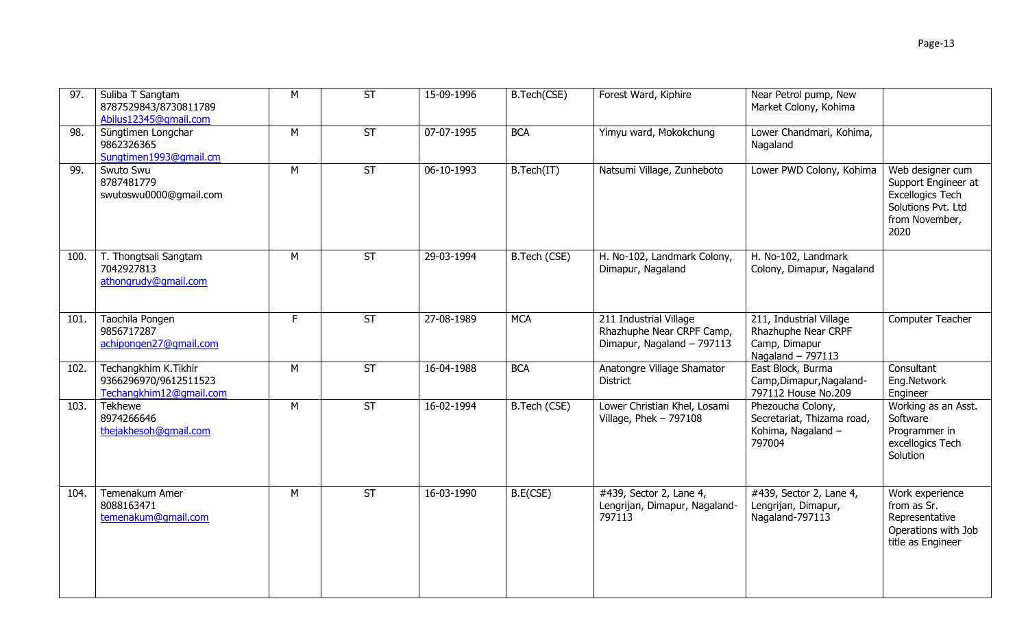| 97.  | Suliba T Sangtam<br>8787529843/8730811789<br>Abilus12345@qmail.com       | M  | <b>ST</b> | 15-09-1996 | B.Tech(CSE)  | Forest Ward, Kiphire                                                              | Near Petrol pump, New<br>Market Colony, Kohima                                        |                                                                                                                    |
|------|--------------------------------------------------------------------------|----|-----------|------------|--------------|-----------------------------------------------------------------------------------|---------------------------------------------------------------------------------------|--------------------------------------------------------------------------------------------------------------------|
| 98.  | Süngtimen Longchar<br>9862326365<br>Sungtimen1993@gmail.cm               | M  | <b>ST</b> | 07-07-1995 | <b>BCA</b>   | Yimyu ward, Mokokchung                                                            | Lower Chandmari, Kohima,<br>Nagaland                                                  |                                                                                                                    |
| 99.  | Swuto Swu<br>8787481779<br>swutoswu0000@gmail.com                        | M  | ST        | 06-10-1993 | B.Tech(IT)   | Natsumi Village, Zunheboto                                                        | Lower PWD Colony, Kohima                                                              | Web designer cum<br>Support Engineer at<br><b>Excellogics Tech</b><br>Solutions Pvt. Ltd<br>from November,<br>2020 |
| 100. | T. Thongtsali Sangtam<br>7042927813<br>athongrudy@gmail.com              | M  | <b>ST</b> | 29-03-1994 | B.Tech (CSE) | H. No-102, Landmark Colony,<br>Dimapur, Nagaland                                  | H. No-102, Landmark<br>Colony, Dimapur, Nagaland                                      |                                                                                                                    |
| 101. | Taochila Pongen<br>9856717287<br>achipongen27@gmail.com                  | F. | <b>ST</b> | 27-08-1989 | <b>MCA</b>   | 211 Industrial Village<br>Rhazhuphe Near CRPF Camp,<br>Dimapur, Nagaland - 797113 | 211, Industrial Village<br>Rhazhuphe Near CRPF<br>Camp, Dimapur<br>Nagaland $-797113$ | Computer Teacher                                                                                                   |
| 102. | Techangkhim K.Tikhir<br>9366296970/9612511523<br>Techangkhim12@qmail.com | M  | ST        | 16-04-1988 | <b>BCA</b>   | Anatongre Village Shamator<br><b>District</b>                                     | East Block, Burma<br>Camp, Dimapur, Nagaland-<br>797112 House No.209                  | Consultant<br>Eng.Network<br>Engineer                                                                              |
| 103. | Tekhewe<br>8974266646<br>thejakhesoh@gmail.com                           | M  | <b>ST</b> | 16-02-1994 | B.Tech (CSE) | Lower Christian Khel, Losami<br>Village, Phek $-797108$                           | Phezoucha Colony,<br>Secretariat, Thizama road,<br>Kohima, Nagaland -<br>797004       | Working as an Asst.<br>Software<br>Programmer in<br>excellogics Tech<br>Solution                                   |
| 104. | Temenakum Amer<br>8088163471<br>temenakum@gmail.com                      | M  | <b>ST</b> | 16-03-1990 | B.E(CSE)     | #439, Sector 2, Lane 4,<br>Lengrijan, Dimapur, Nagaland-<br>797113                | #439, Sector 2, Lane 4,<br>Lengrijan, Dimapur,<br>Nagaland-797113                     | Work experience<br>from as Sr.<br>Representative<br>Operations with Job<br>title as Engineer                       |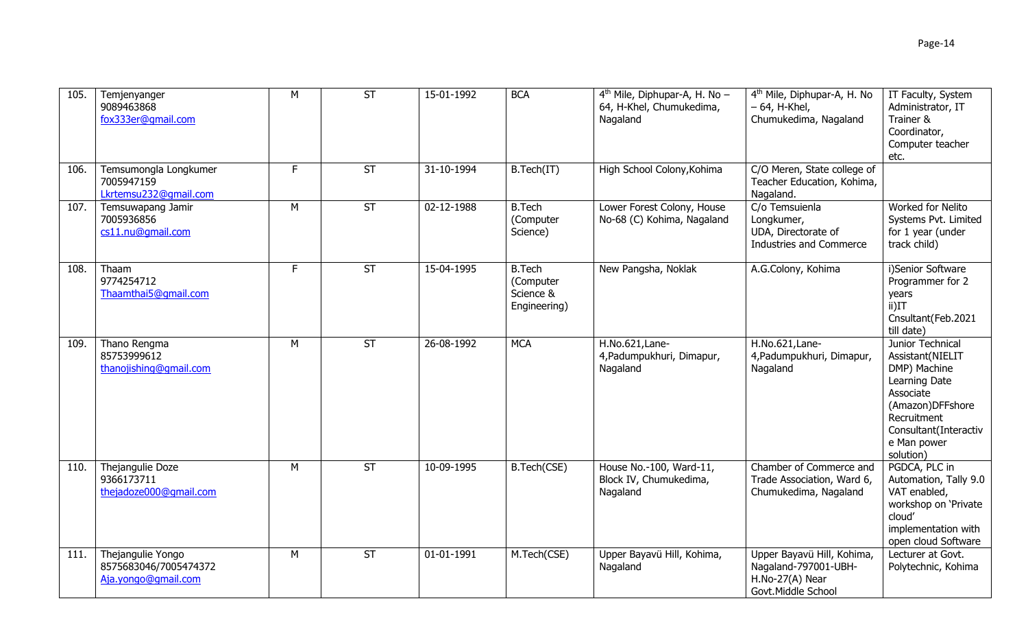| 105. | Temjenyanger<br>9089463868<br>fox333er@gmail.com                  | M  | $\overline{\mathsf{ST}}$ | 15-01-1992 | <b>BCA</b>                                              | $4th$ Mile, Diphupar-A, H. No -<br>64, H-Khel, Chumukedima,<br>Nagaland | 4 <sup>th</sup> Mile, Diphupar-A, H. No<br>$-64$ , H-Khel,<br>Chumukedima, Nagaland         | IT Faculty, System<br>Administrator, IT<br>Trainer &<br>Coordinator,<br>Computer teacher<br>etc.                                                                           |
|------|-------------------------------------------------------------------|----|--------------------------|------------|---------------------------------------------------------|-------------------------------------------------------------------------|---------------------------------------------------------------------------------------------|----------------------------------------------------------------------------------------------------------------------------------------------------------------------------|
| 106. | Temsumongla Longkumer<br>7005947159<br>Lkrtemsu232@gmail.com      | F. | <b>ST</b>                | 31-10-1994 | B.Tech(IT)                                              | High School Colony, Kohima                                              | C/O Meren, State college of<br>Teacher Education, Kohima,<br>Nagaland.                      |                                                                                                                                                                            |
| 107. | Temsuwapang Jamir<br>7005936856<br>cs11.nu@qmail.com              | M  | <b>ST</b>                | 02-12-1988 | <b>B.Tech</b><br>(Computer<br>Science)                  | Lower Forest Colony, House<br>No-68 (C) Kohima, Nagaland                | C/o Temsuienla<br>Longkumer,<br>UDA, Directorate of<br>Industries and Commerce              | Worked for Nelito<br>Systems Pvt. Limited<br>for 1 year (under<br>track child)                                                                                             |
| 108. | Thaam<br>9774254712<br>Thaamthai5@qmail.com                       | F. | $\overline{ST}$          | 15-04-1995 | <b>B.Tech</b><br>(Computer<br>Science &<br>Engineering) | New Pangsha, Noklak                                                     | A.G.Colony, Kohima                                                                          | i)Senior Software<br>Programmer for 2<br>years<br>$ii)$ IT<br>Cnsultant(Feb.2021<br>till date)                                                                             |
| 109. | Thano Rengma<br>85753999612<br>thanojishing@gmail.com             | M  | <b>ST</b>                | 26-08-1992 | <b>MCA</b>                                              | H.No.621, Lane-<br>4, Padumpukhuri, Dimapur,<br>Nagaland                | H.No.621, Lane-<br>4, Padumpukhuri, Dimapur,<br>Nagaland                                    | Junior Technical<br>Assistant(NIELIT<br>DMP) Machine<br>Learning Date<br>Associate<br>(Amazon)DFFshore<br>Recruitment<br>Consultant(Interactiv<br>e Man power<br>solution) |
| 110. | Thejangulie Doze<br>9366173711<br>thejadoze000@gmail.com          | M  | ST                       | 10-09-1995 | B.Tech(CSE)                                             | House No.-100, Ward-11,<br>Block IV, Chumukedima,<br>Nagaland           | Chamber of Commerce and<br>Trade Association, Ward 6,<br>Chumukedima, Nagaland              | PGDCA, PLC in<br>Automation, Tally 9.0<br>VAT enabled,<br>workshop on 'Private<br>cloud'<br>implementation with<br>open cloud Software                                     |
| 111. | Thejangulie Yongo<br>8575683046/7005474372<br>Aja.yongo@gmail.com | M  | <b>ST</b>                | 01-01-1991 | M.Tech(CSE)                                             | Upper Bayavü Hill, Kohima,<br>Nagaland                                  | Upper Bayavü Hill, Kohima,<br>Nagaland-797001-UBH-<br>H.No-27(A) Near<br>Govt.Middle School | Lecturer at Govt.<br>Polytechnic, Kohima                                                                                                                                   |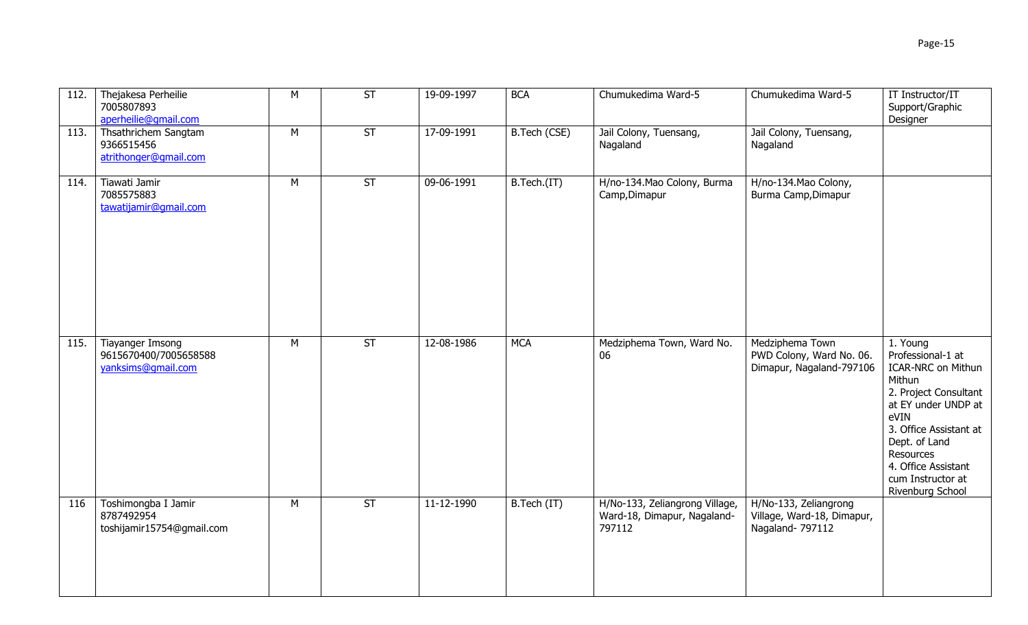| 112. | Thejakesa Perheilie<br>7005807893<br>aperheilie@qmail.com       | М | <b>ST</b> | 19-09-1997 | <b>BCA</b>   | Chumukedima Ward-5                                                      | Chumukedima Ward-5                                                      | IT Instructor/IT<br>Support/Graphic<br>Designer                                                                                                                                                                                                      |
|------|-----------------------------------------------------------------|---|-----------|------------|--------------|-------------------------------------------------------------------------|-------------------------------------------------------------------------|------------------------------------------------------------------------------------------------------------------------------------------------------------------------------------------------------------------------------------------------------|
| 113. | Thsathrichem Sangtam<br>9366515456<br>atrithonger@gmail.com     | M | <b>ST</b> | 17-09-1991 | B.Tech (CSE) | Jail Colony, Tuensang,<br>Nagaland                                      | Jail Colony, Tuensang,<br>Nagaland                                      |                                                                                                                                                                                                                                                      |
| 114. | Tiawati Jamir<br>7085575883<br>tawatijamir@qmail.com            | M | <b>ST</b> | 09-06-1991 | B.Tech.(IT)  | H/no-134. Mao Colony, Burma<br>Camp, Dimapur                            | H/no-134.Mao Colony,<br>Burma Camp, Dimapur                             |                                                                                                                                                                                                                                                      |
| 115. | Tiayanger Imsong<br>9615670400/7005658588<br>yanksims@gmail.com | M | ST        | 12-08-1986 | <b>MCA</b>   | Medziphema Town, Ward No.<br>06                                         | Medziphema Town<br>PWD Colony, Ward No. 06.<br>Dimapur, Nagaland-797106 | 1. Young<br>Professional-1 at<br><b>ICAR-NRC on Mithun</b><br>Mithun<br>2. Project Consultant<br>at EY under UNDP at<br>eVIN<br>3. Office Assistant at<br>Dept. of Land<br>Resources<br>4. Office Assistant<br>cum Instructor at<br>Rivenburg School |
| 116  | Toshimongba I Jamir<br>8787492954<br>toshijamir15754@gmail.com  | M | ST        | 11-12-1990 | B.Tech (IT)  | H/No-133, Zeliangrong Village,<br>Ward-18, Dimapur, Nagaland-<br>797112 | H/No-133, Zeliangrong<br>Village, Ward-18, Dimapur,<br>Nagaland- 797112 |                                                                                                                                                                                                                                                      |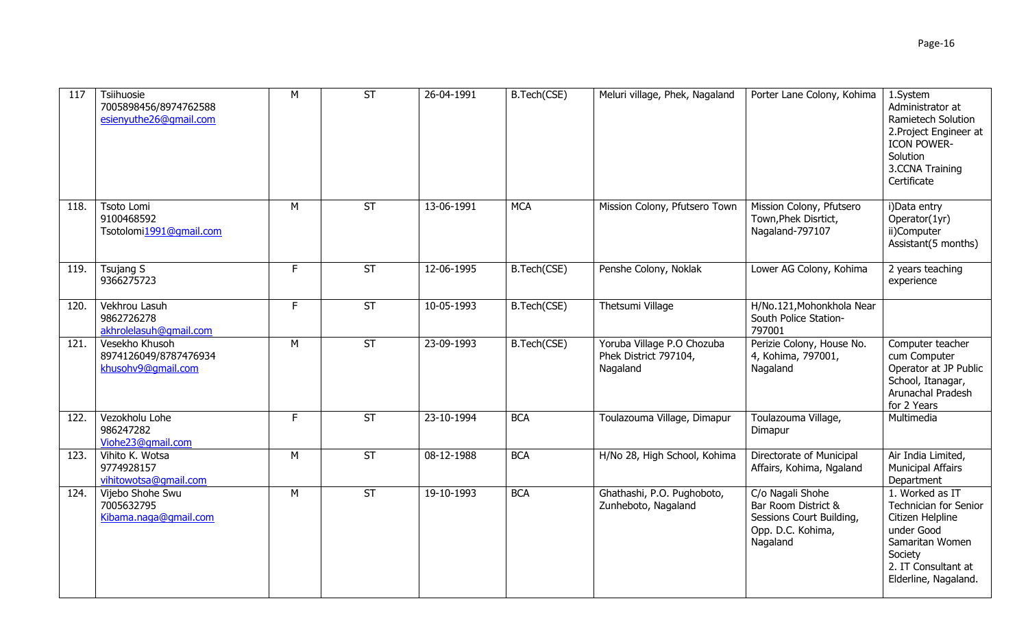| 117  | Tsiihuosie<br>7005898456/8974762588<br>esienyuthe26@gmail.com | M  | <b>ST</b>                | 26-04-1991 | B.Tech(CSE) | Meluri village, Phek, Nagaland                                  | Porter Lane Colony, Kohima                                                                           | 1.System<br>Administrator at<br>Ramietech Solution<br>2. Project Engineer at<br><b>ICON POWER-</b><br>Solution<br>3.CCNA Training<br>Certificate        |
|------|---------------------------------------------------------------|----|--------------------------|------------|-------------|-----------------------------------------------------------------|------------------------------------------------------------------------------------------------------|---------------------------------------------------------------------------------------------------------------------------------------------------------|
| 118. | Tsoto Lomi<br>9100468592<br>Tsotolomi1991@qmail.com           | M  | ST                       | 13-06-1991 | <b>MCA</b>  | Mission Colony, Pfutsero Town                                   | Mission Colony, Pfutsero<br>Town, Phek Disrtict,<br>Nagaland-797107                                  | i)Data entry<br>Operator(1yr)<br>ii)Computer<br>Assistant(5 months)                                                                                     |
| 119. | Tsujang S<br>9366275723                                       | F. | $\overline{\mathsf{ST}}$ | 12-06-1995 | B.Tech(CSE) | Penshe Colony, Noklak                                           | Lower AG Colony, Kohima                                                                              | 2 years teaching<br>experience                                                                                                                          |
| 120. | Vekhrou Lasuh<br>9862726278<br>akhrolelasuh@gmail.com         | F. | <b>ST</b>                | 10-05-1993 | B.Tech(CSE) | Thetsumi Village                                                | H/No.121, Mohonkhola Near<br>South Police Station-<br>797001                                         |                                                                                                                                                         |
| 121. | Vesekho Khusoh<br>8974126049/8787476934<br>khusohv9@qmail.com | M  | $\overline{\mathsf{ST}}$ | 23-09-1993 | B.Tech(CSE) | Yoruba Village P.O Chozuba<br>Phek District 797104,<br>Nagaland | Perizie Colony, House No.<br>4, Kohima, 797001,<br>Nagaland                                          | Computer teacher<br>cum Computer<br>Operator at JP Public<br>School, Itanagar,<br>Arunachal Pradesh<br>for 2 Years                                      |
| 122. | Vezokholu Lohe<br>986247282<br>Viohe23@qmail.com              | F. | <b>ST</b>                | 23-10-1994 | <b>BCA</b>  | Toulazouma Village, Dimapur                                     | Toulazouma Village,<br>Dimapur                                                                       | Multimedia                                                                                                                                              |
| 123. | Vihito K. Wotsa<br>9774928157<br>vihitowotsa@gmail.com        | M  | <b>ST</b>                | 08-12-1988 | <b>BCA</b>  | H/No 28, High School, Kohima                                    | Directorate of Municipal<br>Affairs, Kohima, Ngaland                                                 | Air India Limited,<br><b>Municipal Affairs</b><br>Department                                                                                            |
| 124. | Vijebo Shohe Swu<br>7005632795<br>Kibama.naga@gmail.com       | M  | ST                       | 19-10-1993 | <b>BCA</b>  | Ghathashi, P.O. Pughoboto,<br>Zunheboto, Nagaland               | C/o Nagali Shohe<br>Bar Room District &<br>Sessions Court Building,<br>Opp. D.C. Kohima,<br>Nagaland | 1. Worked as IT<br>Technician for Senior<br>Citizen Helpline<br>under Good<br>Samaritan Women<br>Society<br>2. IT Consultant at<br>Elderline, Nagaland. |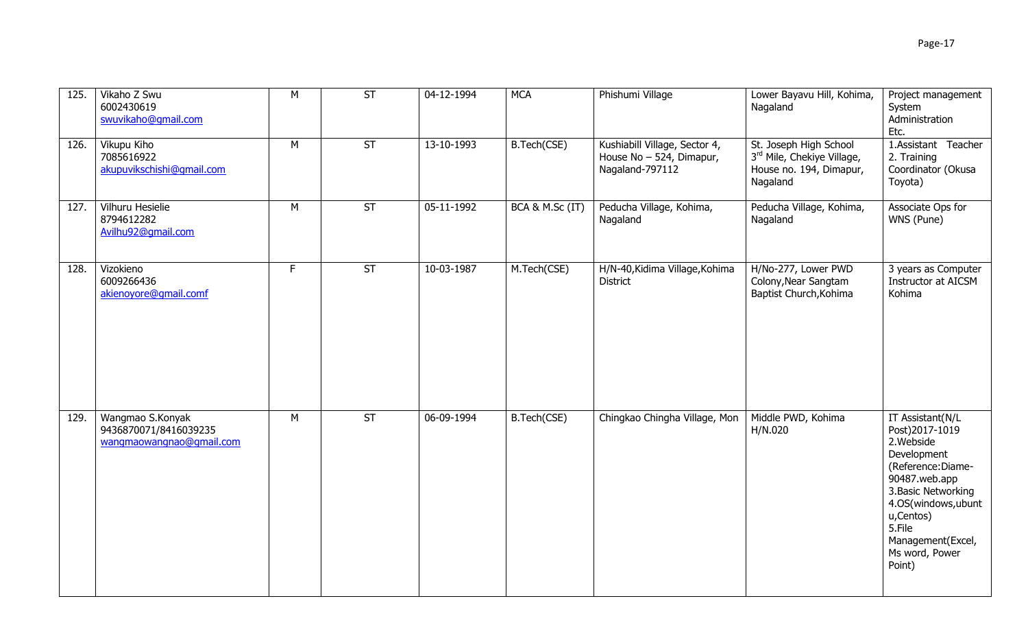| 125. | Vikaho Z Swu<br>6002430619<br>swuvikaho@gmail.com                     | M  | ST                       | 04-12-1994 | <b>MCA</b>      | Phishumi Village                                                             | Lower Bayavu Hill, Kohima,<br>Nagaland                                                      | Project management<br>System<br>Administration<br>Etc.                                                                                                                                                                      |
|------|-----------------------------------------------------------------------|----|--------------------------|------------|-----------------|------------------------------------------------------------------------------|---------------------------------------------------------------------------------------------|-----------------------------------------------------------------------------------------------------------------------------------------------------------------------------------------------------------------------------|
| 126. | Vikupu Kiho<br>7085616922<br>akupuvikschishi@qmail.com                | M  | <b>ST</b>                | 13-10-1993 | B.Tech(CSE)     | Kushiabill Village, Sector 4,<br>House No - 524, Dimapur,<br>Nagaland-797112 | St. Joseph High School<br>3rd Mile, Chekiye Village,<br>House no. 194, Dimapur,<br>Nagaland | 1.Assistant Teacher<br>2. Training<br>Coordinator (Okusa<br>Toyota)                                                                                                                                                         |
| 127. | Vilhuru Hesielie<br>8794612282<br>Avilhu92@qmail.com                  | M  | $\overline{\mathsf{ST}}$ | 05-11-1992 | BCA & M.Sc (IT) | Peducha Village, Kohima,<br>Nagaland                                         | Peducha Village, Kohima,<br>Nagaland                                                        | Associate Ops for<br>WNS (Pune)                                                                                                                                                                                             |
| 128. | Vizokieno<br>6009266436<br>akienoyore@qmail.comf                      | F. | ST                       | 10-03-1987 | M.Tech(CSE)     | H/N-40, Kidima Village, Kohima<br><b>District</b>                            | H/No-277, Lower PWD<br>Colony, Near Sangtam<br>Baptist Church, Kohima                       | 3 years as Computer<br>Instructor at AICSM<br>Kohima                                                                                                                                                                        |
| 129. | Wangmao S.Konyak<br>9436870071/8416039235<br>wangmaowangnao@gmail.com | M  | $\overline{\mathsf{ST}}$ | 06-09-1994 | B.Tech(CSE)     | Chingkao Chingha Village, Mon                                                | Middle PWD, Kohima<br>H/N.020                                                               | IT Assistant(N/L<br>Post)2017-1019<br>2. Webside<br>Development<br>(Reference: Diame-<br>90487.web.app<br>3. Basic Networking<br>4.0S(windows,ubunt<br>u,Centos)<br>5.File<br>Management(Excel,<br>Ms word, Power<br>Point) |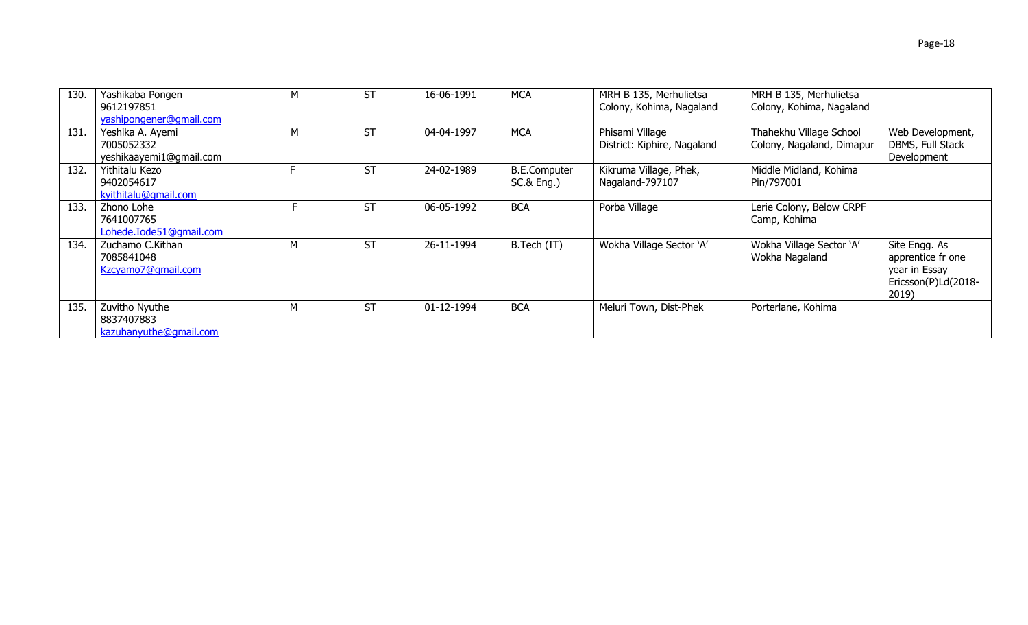| 130. | Yashikaba Pongen<br>9612197851<br>yashipongener@gmail.com | м | <b>ST</b> | 16-06-1991 | <b>MCA</b>                                   | MRH B 135, Merhulietsa<br>Colony, Kohima, Nagaland | MRH B 135, Merhulietsa<br>Colony, Kohima, Nagaland   |                                                                                     |
|------|-----------------------------------------------------------|---|-----------|------------|----------------------------------------------|----------------------------------------------------|------------------------------------------------------|-------------------------------------------------------------------------------------|
| 131. | Yeshika A. Ayemi<br>7005052332<br>yeshikaayemi1@gmail.com | М | <b>ST</b> | 04-04-1997 | <b>MCA</b>                                   | Phisami Village<br>District: Kiphire, Nagaland     | Thahekhu Village School<br>Colony, Nagaland, Dimapur | Web Development,<br>DBMS, Full Stack<br>Development                                 |
| 132. | Yithitalu Kezo<br>9402054617<br>kyithitalu@gmail.com      |   | <b>ST</b> | 24-02-1989 | <b>B.E.Computer</b><br><b>SC.&amp; Eng.)</b> | Kikruma Village, Phek,<br>Nagaland-797107          | Middle Midland, Kohima<br>Pin/797001                 |                                                                                     |
| 133. | Zhono Lohe<br>7641007765<br>Lohede.Iode51@qmail.com       |   | ST        | 06-05-1992 | <b>BCA</b>                                   | Porba Village                                      | Lerie Colony, Below CRPF<br>Camp, Kohima             |                                                                                     |
| 134. | Zuchamo C.Kithan<br>7085841048<br>Kzcyamo7@gmail.com      | М | <b>ST</b> | 26-11-1994 | B.Tech (IT)                                  | Wokha Village Sector 'A'                           | Wokha Village Sector 'A'<br>Wokha Nagaland           | Site Engg. As<br>apprentice fr one<br>year in Essay<br>Ericsson(P)Ld(2018-<br>2019) |
| 135. | Zuvitho Nyuthe<br>8837407883<br>kazuhanyuthe@gmail.com    | м | <b>ST</b> | 01-12-1994 | <b>BCA</b>                                   | Meluri Town, Dist-Phek                             | Porterlane, Kohima                                   |                                                                                     |